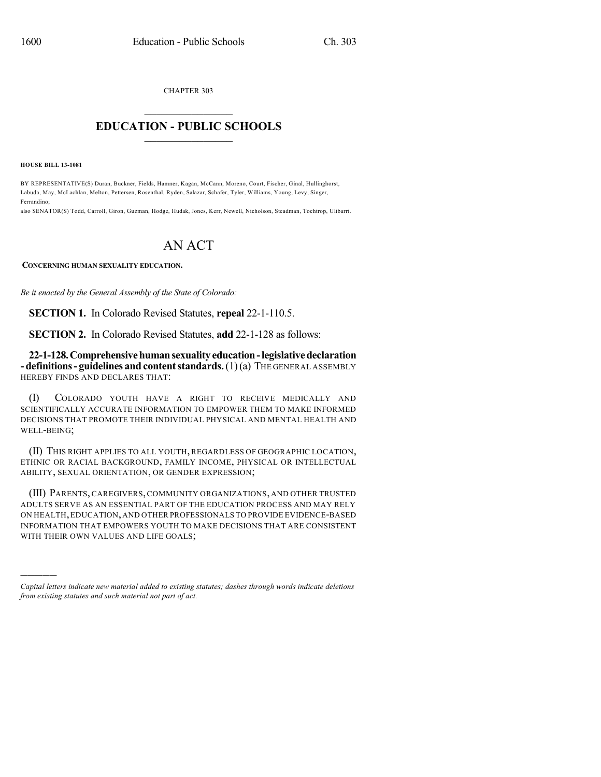CHAPTER 303

## $\mathcal{L}_\text{max}$  . The set of the set of the set of the set of the set of the set of the set of the set of the set of the set of the set of the set of the set of the set of the set of the set of the set of the set of the set **EDUCATION - PUBLIC SCHOOLS**  $\_$   $\_$   $\_$   $\_$   $\_$   $\_$   $\_$   $\_$   $\_$

**HOUSE BILL 13-1081**

)))))

BY REPRESENTATIVE(S) Duran, Buckner, Fields, Hamner, Kagan, McCann, Moreno, Court, Fischer, Ginal, Hullinghorst, Labuda, May, McLachlan, Melton, Pettersen, Rosenthal, Ryden, Salazar, Schafer, Tyler, Williams, Young, Levy, Singer, Ferrandino;

also SENATOR(S) Todd, Carroll, Giron, Guzman, Hodge, Hudak, Jones, Kerr, Newell, Nicholson, Steadman, Tochtrop, Ulibarri.

## AN ACT

**CONCERNING HUMAN SEXUALITY EDUCATION.**

*Be it enacted by the General Assembly of the State of Colorado:*

**SECTION 1.** In Colorado Revised Statutes, **repeal** 22-1-110.5.

**SECTION 2.** In Colorado Revised Statutes, **add** 22-1-128 as follows:

**22-1-128.Comprehensivehumansexualityeducation-legislativedeclaration - definitions- guidelines and contentstandards.**(1)(a) THE GENERAL ASSEMBLY HEREBY FINDS AND DECLARES THAT:

(I) COLORADO YOUTH HAVE A RIGHT TO RECEIVE MEDICALLY AND SCIENTIFICALLY ACCURATE INFORMATION TO EMPOWER THEM TO MAKE INFORMED DECISIONS THAT PROMOTE THEIR INDIVIDUAL PHYSICAL AND MENTAL HEALTH AND WELL-BEING;

(II) THIS RIGHT APPLIES TO ALL YOUTH, REGARDLESS OF GEOGRAPHIC LOCATION, ETHNIC OR RACIAL BACKGROUND, FAMILY INCOME, PHYSICAL OR INTELLECTUAL ABILITY, SEXUAL ORIENTATION, OR GENDER EXPRESSION;

(III) PARENTS, CAREGIVERS, COMMUNITY ORGANIZATIONS, AND OTHER TRUSTED ADULTS SERVE AS AN ESSENTIAL PART OF THE EDUCATION PROCESS AND MAY RELY ON HEALTH,EDUCATION,AND OTHER PROFESSIONALS TO PROVIDE EVIDENCE-BASED INFORMATION THAT EMPOWERS YOUTH TO MAKE DECISIONS THAT ARE CONSISTENT WITH THEIR OWN VALUES AND LIFE GOALS;

*Capital letters indicate new material added to existing statutes; dashes through words indicate deletions from existing statutes and such material not part of act.*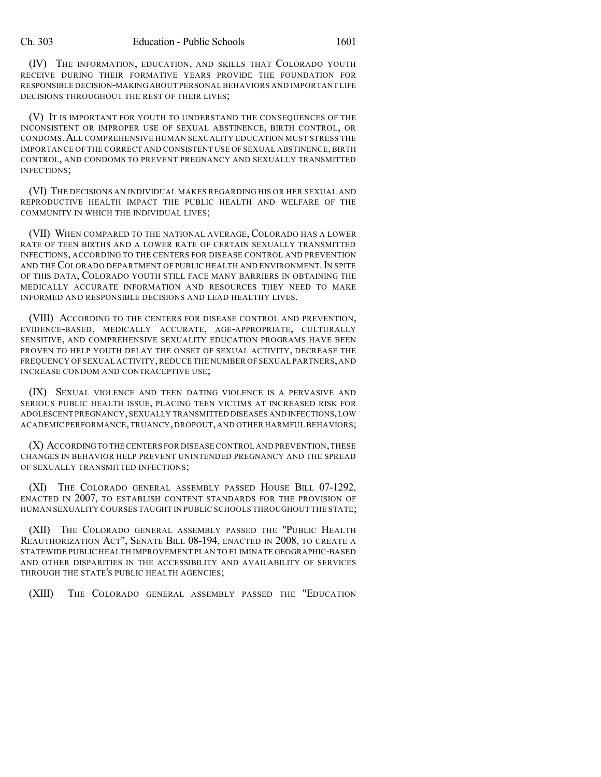(IV) THE INFORMATION, EDUCATION, AND SKILLS THAT COLORADO YOUTH RECEIVE DURING THEIR FORMATIVE YEARS PROVIDE THE FOUNDATION FOR RESPONSIBLE DECISION-MAKING ABOUT PERSONAL BEHAVIORS AND IMPORTANT LIFE DECISIONS THROUGHOUT THE REST OF THEIR LIVES;

(V) IT IS IMPORTANT FOR YOUTH TO UNDERSTAND THE CONSEQUENCES OF THE INCONSISTENT OR IMPROPER USE OF SEXUAL ABSTINENCE, BIRTH CONTROL, OR CONDOMS.ALL COMPREHENSIVE HUMAN SEXUALITY EDUCATION MUST STRESS THE IMPORTANCE OF THE CORRECT AND CONSISTENT USE OF SEXUAL ABSTINENCE,BIRTH CONTROL, AND CONDOMS TO PREVENT PREGNANCY AND SEXUALLY TRANSMITTED INFECTIONS;

(VI) THE DECISIONS AN INDIVIDUAL MAKES REGARDING HIS OR HER SEXUAL AND REPRODUCTIVE HEALTH IMPACT THE PUBLIC HEALTH AND WELFARE OF THE COMMUNITY IN WHICH THE INDIVIDUAL LIVES;

(VII) WHEN COMPARED TO THE NATIONAL AVERAGE, COLORADO HAS A LOWER RATE OF TEEN BIRTHS AND A LOWER RATE OF CERTAIN SEXUALLY TRANSMITTED INFECTIONS, ACCORDING TO THE CENTERS FOR DISEASE CONTROL AND PREVENTION AND THE COLORADO DEPARTMENT OF PUBLIC HEALTH AND ENVIRONMENT. IN SPITE OF THIS DATA, COLORADO YOUTH STILL FACE MANY BARRIERS IN OBTAINING THE MEDICALLY ACCURATE INFORMATION AND RESOURCES THEY NEED TO MAKE INFORMED AND RESPONSIBLE DECISIONS AND LEAD HEALTHY LIVES.

(VIII) ACCORDING TO THE CENTERS FOR DISEASE CONTROL AND PREVENTION, EVIDENCE-BASED, MEDICALLY ACCURATE, AGE-APPROPRIATE, CULTURALLY SENSITIVE, AND COMPREHENSIVE SEXUALITY EDUCATION PROGRAMS HAVE BEEN PROVEN TO HELP YOUTH DELAY THE ONSET OF SEXUAL ACTIVITY, DECREASE THE FREQUENCY OF SEXUAL ACTIVITY,REDUCE THE NUMBER OF SEXUAL PARTNERS,AND INCREASE CONDOM AND CONTRACEPTIVE USE;

(IX) SEXUAL VIOLENCE AND TEEN DATING VIOLENCE IS A PERVASIVE AND SERIOUS PUBLIC HEALTH ISSUE, PLACING TEEN VICTIMS AT INCREASED RISK FOR ADOLESCENT PREGNANCY,SEXUALLY TRANSMITTED DISEASES AND INFECTIONS,LOW ACADEMIC PERFORMANCE,TRUANCY, DROPOUT, AND OTHER HARMFUL BEHAVIORS;

(X) ACCORDINGTO THE CENTERS FOR DISEASE CONTROL AND PREVENTION,THESE CHANGES IN BEHAVIOR HELP PREVENT UNINTENDED PREGNANCY AND THE SPREAD OF SEXUALLY TRANSMITTED INFECTIONS;

(XI) THE COLORADO GENERAL ASSEMBLY PASSED HOUSE BILL 07-1292, ENACTED IN 2007, TO ESTABLISH CONTENT STANDARDS FOR THE PROVISION OF HUMAN SEXUALITY COURSES TAUGHT IN PUBLIC SCHOOLS THROUGHOUT THE STATE;

(XII) THE COLORADO GENERAL ASSEMBLY PASSED THE "PUBLIC HEALTH REAUTHORIZATION ACT", SENATE BILL 08-194, ENACTED IN 2008, TO CREATE A STATEWIDE PUBLIC HEALTH IMPROVEMENT PLAN TO ELIMINATE GEOGRAPHIC-BASED AND OTHER DISPARITIES IN THE ACCESSIBILITY AND AVAILABILITY OF SERVICES THROUGH THE STATE'S PUBLIC HEALTH AGENCIES;

(XIII) THE COLORADO GENERAL ASSEMBLY PASSED THE "EDUCATION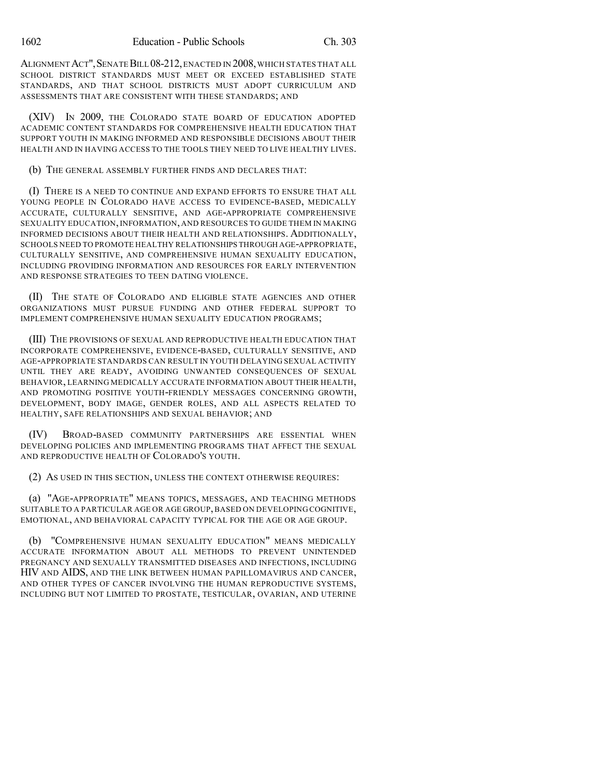ALIGNMENT ACT", SENATE BILL 08-212, ENACTED IN 2008, WHICH STATES THAT ALL SCHOOL DISTRICT STANDARDS MUST MEET OR EXCEED ESTABLISHED STATE STANDARDS, AND THAT SCHOOL DISTRICTS MUST ADOPT CURRICULUM AND ASSESSMENTS THAT ARE CONSISTENT WITH THESE STANDARDS; AND

(XIV) IN 2009, THE COLORADO STATE BOARD OF EDUCATION ADOPTED ACADEMIC CONTENT STANDARDS FOR COMPREHENSIVE HEALTH EDUCATION THAT SUPPORT YOUTH IN MAKING INFORMED AND RESPONSIBLE DECISIONS ABOUT THEIR HEALTH AND IN HAVING ACCESS TO THE TOOLS THEY NEED TO LIVE HEALTHY LIVES.

(b) THE GENERAL ASSEMBLY FURTHER FINDS AND DECLARES THAT:

(I) THERE IS A NEED TO CONTINUE AND EXPAND EFFORTS TO ENSURE THAT ALL YOUNG PEOPLE IN COLORADO HAVE ACCESS TO EVIDENCE-BASED, MEDICALLY ACCURATE, CULTURALLY SENSITIVE, AND AGE-APPROPRIATE COMPREHENSIVE SEXUALITY EDUCATION, INFORMATION, AND RESOURCES TO GUIDE THEM IN MAKING INFORMED DECISIONS ABOUT THEIR HEALTH AND RELATIONSHIPS. ADDITIONALLY, SCHOOLS NEED TO PROMOTE HEALTHY RELATIONSHIPS THROUGH AGE-APPROPRIATE, CULTURALLY SENSITIVE, AND COMPREHENSIVE HUMAN SEXUALITY EDUCATION, INCLUDING PROVIDING INFORMATION AND RESOURCES FOR EARLY INTERVENTION AND RESPONSE STRATEGIES TO TEEN DATING VIOLENCE.

(II) THE STATE OF COLORADO AND ELIGIBLE STATE AGENCIES AND OTHER ORGANIZATIONS MUST PURSUE FUNDING AND OTHER FEDERAL SUPPORT TO IMPLEMENT COMPREHENSIVE HUMAN SEXUALITY EDUCATION PROGRAMS;

(III) THE PROVISIONS OF SEXUAL AND REPRODUCTIVE HEALTH EDUCATION THAT INCORPORATE COMPREHENSIVE, EVIDENCE-BASED, CULTURALLY SENSITIVE, AND AGE-APPROPRIATE STANDARDS CAN RESULT IN YOUTH DELAYING SEXUAL ACTIVITY UNTIL THEY ARE READY, AVOIDING UNWANTED CONSEQUENCES OF SEXUAL BEHAVIOR, LEARNING MEDICALLY ACCURATE INFORMATION ABOUT THEIR HEALTH, AND PROMOTING POSITIVE YOUTH-FRIENDLY MESSAGES CONCERNING GROWTH, DEVELOPMENT, BODY IMAGE, GENDER ROLES, AND ALL ASPECTS RELATED TO HEALTHY, SAFE RELATIONSHIPS AND SEXUAL BEHAVIOR; AND

(IV) BROAD-BASED COMMUNITY PARTNERSHIPS ARE ESSENTIAL WHEN DEVELOPING POLICIES AND IMPLEMENTING PROGRAMS THAT AFFECT THE SEXUAL AND REPRODUCTIVE HEALTH OF COLORADO'S YOUTH.

(2) AS USED IN THIS SECTION, UNLESS THE CONTEXT OTHERWISE REQUIRES:

(a) "AGE-APPROPRIATE" MEANS TOPICS, MESSAGES, AND TEACHING METHODS SUITABLE TO A PARTICULAR AGE OR AGE GROUP,BASED ON DEVELOPING COGNITIVE, EMOTIONAL, AND BEHAVIORAL CAPACITY TYPICAL FOR THE AGE OR AGE GROUP.

(b) "COMPREHENSIVE HUMAN SEXUALITY EDUCATION" MEANS MEDICALLY ACCURATE INFORMATION ABOUT ALL METHODS TO PREVENT UNINTENDED PREGNANCY AND SEXUALLY TRANSMITTED DISEASES AND INFECTIONS, INCLUDING HIV AND AIDS, AND THE LINK BETWEEN HUMAN PAPILLOMAVIRUS AND CANCER, AND OTHER TYPES OF CANCER INVOLVING THE HUMAN REPRODUCTIVE SYSTEMS, INCLUDING BUT NOT LIMITED TO PROSTATE, TESTICULAR, OVARIAN, AND UTERINE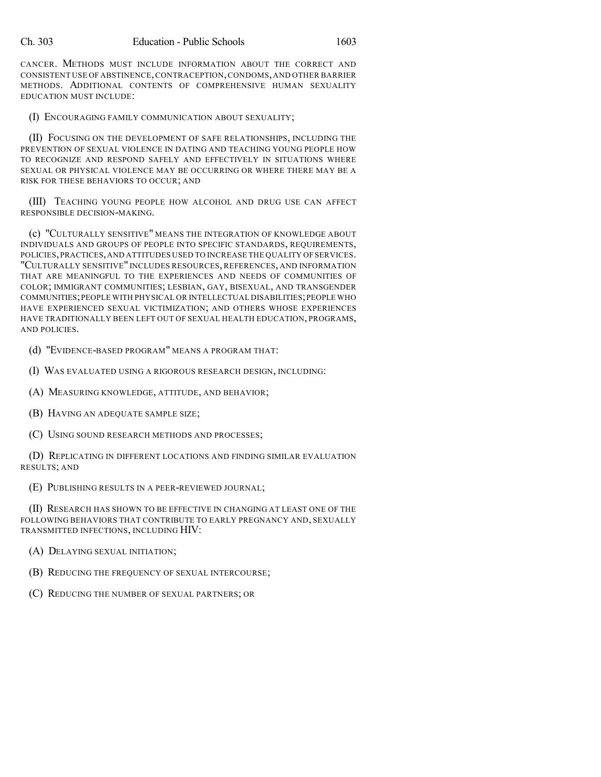CANCER. METHODS MUST INCLUDE INFORMATION ABOUT THE CORRECT AND CONSISTENT USE OF ABSTINENCE,CONTRACEPTION,CONDOMS,AND OTHER BARRIER METHODS. ADDITIONAL CONTENTS OF COMPREHENSIVE HUMAN SEXUALITY EDUCATION MUST INCLUDE:

(I) ENCOURAGING FAMILY COMMUNICATION ABOUT SEXUALITY;

(II) FOCUSING ON THE DEVELOPMENT OF SAFE RELATIONSHIPS, INCLUDING THE PREVENTION OF SEXUAL VIOLENCE IN DATING AND TEACHING YOUNG PEOPLE HOW TO RECOGNIZE AND RESPOND SAFELY AND EFFECTIVELY IN SITUATIONS WHERE SEXUAL OR PHYSICAL VIOLENCE MAY BE OCCURRING OR WHERE THERE MAY BE A RISK FOR THESE BEHAVIORS TO OCCUR; AND

(III) TEACHING YOUNG PEOPLE HOW ALCOHOL AND DRUG USE CAN AFFECT RESPONSIBLE DECISION-MAKING.

(c) "CULTURALLY SENSITIVE" MEANS THE INTEGRATION OF KNOWLEDGE ABOUT INDIVIDUALS AND GROUPS OF PEOPLE INTO SPECIFIC STANDARDS, REQUIREMENTS, POLICIES,PRACTICES,AND ATTITUDES USED TO INCREASE THE QUALITY OF SERVICES. "CULTURALLY SENSITIVE" INCLUDES RESOURCES, REFERENCES, AND INFORMATION THAT ARE MEANINGFUL TO THE EXPERIENCES AND NEEDS OF COMMUNITIES OF COLOR; IMMIGRANT COMMUNITIES; LESBIAN, GAY, BISEXUAL, AND TRANSGENDER COMMUNITIES;PEOPLE WITH PHYSICAL OR INTELLECTUAL DISABILITIES;PEOPLE WHO HAVE EXPERIENCED SEXUAL VICTIMIZATION; AND OTHERS WHOSE EXPERIENCES HAVE TRADITIONALLY BEEN LEFT OUT OF SEXUAL HEALTH EDUCATION, PROGRAMS, AND POLICIES.

(d) "EVIDENCE-BASED PROGRAM" MEANS A PROGRAM THAT:

(I) WAS EVALUATED USING A RIGOROUS RESEARCH DESIGN, INCLUDING:

(A) MEASURING KNOWLEDGE, ATTITUDE, AND BEHAVIOR;

(B) HAVING AN ADEQUATE SAMPLE SIZE;

(C) USING SOUND RESEARCH METHODS AND PROCESSES;

(D) REPLICATING IN DIFFERENT LOCATIONS AND FINDING SIMILAR EVALUATION RESULTS; AND

(E) PUBLISHING RESULTS IN A PEER-REVIEWED JOURNAL;

(II) RESEARCH HAS SHOWN TO BE EFFECTIVE IN CHANGING AT LEAST ONE OF THE FOLLOWING BEHAVIORS THAT CONTRIBUTE TO EARLY PREGNANCY AND, SEXUALLY TRANSMITTED INFECTIONS, INCLUDING HIV:

(A) DELAYING SEXUAL INITIATION;

(B) REDUCING THE FREQUENCY OF SEXUAL INTERCOURSE;

(C) REDUCING THE NUMBER OF SEXUAL PARTNERS; OR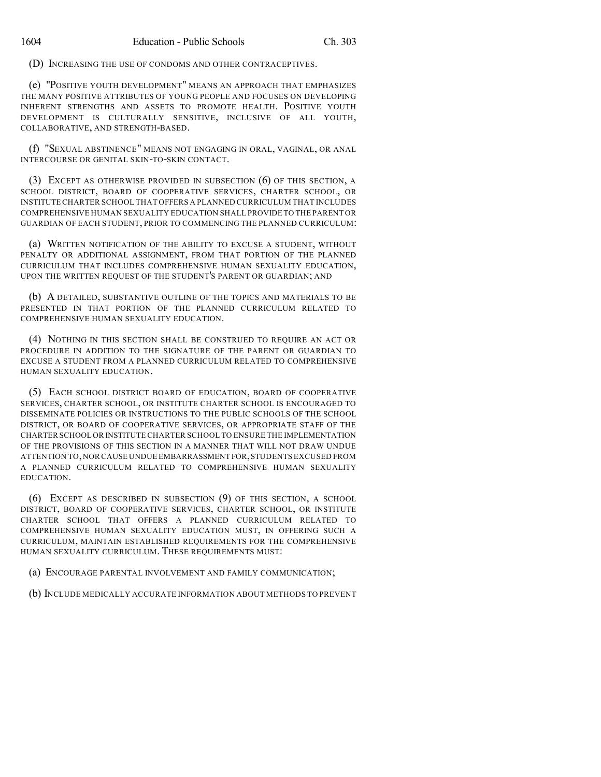(D) INCREASING THE USE OF CONDOMS AND OTHER CONTRACEPTIVES.

(e) "POSITIVE YOUTH DEVELOPMENT" MEANS AN APPROACH THAT EMPHASIZES THE MANY POSITIVE ATTRIBUTES OF YOUNG PEOPLE AND FOCUSES ON DEVELOPING INHERENT STRENGTHS AND ASSETS TO PROMOTE HEALTH. POSITIVE YOUTH DEVELOPMENT IS CULTURALLY SENSITIVE, INCLUSIVE OF ALL YOUTH, COLLABORATIVE, AND STRENGTH-BASED.

(f) "SEXUAL ABSTINENCE" MEANS NOT ENGAGING IN ORAL, VAGINAL, OR ANAL INTERCOURSE OR GENITAL SKIN-TO-SKIN CONTACT.

(3) EXCEPT AS OTHERWISE PROVIDED IN SUBSECTION (6) OF THIS SECTION, A SCHOOL DISTRICT, BOARD OF COOPERATIVE SERVICES, CHARTER SCHOOL, OR INSTITUTE CHARTER SCHOOL THAT OFFERS A PLANNED CURRICULUM THAT INCLUDES COMPREHENSIVE HUMAN SEXUALITY EDUCATION SHALL PROVIDE TO THE PARENT OR GUARDIAN OF EACH STUDENT, PRIOR TO COMMENCING THE PLANNED CURRICULUM:

(a) WRITTEN NOTIFICATION OF THE ABILITY TO EXCUSE A STUDENT, WITHOUT PENALTY OR ADDITIONAL ASSIGNMENT, FROM THAT PORTION OF THE PLANNED CURRICULUM THAT INCLUDES COMPREHENSIVE HUMAN SEXUALITY EDUCATION, UPON THE WRITTEN REQUEST OF THE STUDENT'S PARENT OR GUARDIAN; AND

(b) A DETAILED, SUBSTANTIVE OUTLINE OF THE TOPICS AND MATERIALS TO BE PRESENTED IN THAT PORTION OF THE PLANNED CURRICULUM RELATED TO COMPREHENSIVE HUMAN SEXUALITY EDUCATION.

(4) NOTHING IN THIS SECTION SHALL BE CONSTRUED TO REQUIRE AN ACT OR PROCEDURE IN ADDITION TO THE SIGNATURE OF THE PARENT OR GUARDIAN TO EXCUSE A STUDENT FROM A PLANNED CURRICULUM RELATED TO COMPREHENSIVE HUMAN SEXUALITY EDUCATION.

(5) EACH SCHOOL DISTRICT BOARD OF EDUCATION, BOARD OF COOPERATIVE SERVICES, CHARTER SCHOOL, OR INSTITUTE CHARTER SCHOOL IS ENCOURAGED TO DISSEMINATE POLICIES OR INSTRUCTIONS TO THE PUBLIC SCHOOLS OF THE SCHOOL DISTRICT, OR BOARD OF COOPERATIVE SERVICES, OR APPROPRIATE STAFF OF THE CHARTER SCHOOL OR INSTITUTE CHARTER SCHOOL TO ENSURE THE IMPLEMENTATION OF THE PROVISIONS OF THIS SECTION IN A MANNER THAT WILL NOT DRAW UNDUE ATTENTION TO,NOR CAUSE UNDUE EMBARRASSMENT FOR,STUDENTS EXCUSED FROM A PLANNED CURRICULUM RELATED TO COMPREHENSIVE HUMAN SEXUALITY EDUCATION.

(6) EXCEPT AS DESCRIBED IN SUBSECTION (9) OF THIS SECTION, A SCHOOL DISTRICT, BOARD OF COOPERATIVE SERVICES, CHARTER SCHOOL, OR INSTITUTE CHARTER SCHOOL THAT OFFERS A PLANNED CURRICULUM RELATED TO COMPREHENSIVE HUMAN SEXUALITY EDUCATION MUST, IN OFFERING SUCH A CURRICULUM, MAINTAIN ESTABLISHED REQUIREMENTS FOR THE COMPREHENSIVE HUMAN SEXUALITY CURRICULUM. THESE REQUIREMENTS MUST:

(a) ENCOURAGE PARENTAL INVOLVEMENT AND FAMILY COMMUNICATION;

(b) INCLUDE MEDICALLY ACCURATE INFORMATION ABOUT METHODS TO PREVENT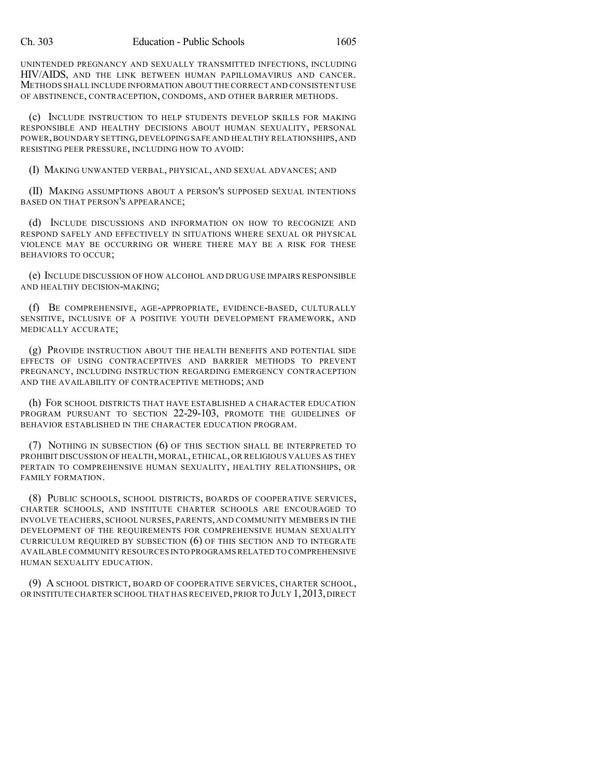UNINTENDED PREGNANCY AND SEXUALLY TRANSMITTED INFECTIONS, INCLUDING HIV/AIDS, AND THE LINK BETWEEN HUMAN PAPILLOMAVIRUS AND CANCER. METHODS SHALL INCLUDE INFORMATION ABOUT THE CORRECT AND CONSISTENT USE OF ABSTINENCE, CONTRACEPTION, CONDOMS, AND OTHER BARRIER METHODS.

(c) INCLUDE INSTRUCTION TO HELP STUDENTS DEVELOP SKILLS FOR MAKING RESPONSIBLE AND HEALTHY DECISIONS ABOUT HUMAN SEXUALITY, PERSONAL POWER,BOUNDARY SETTING,DEVELOPING SAFE AND HEALTHY RELATIONSHIPS,AND RESISTING PEER PRESSURE, INCLUDING HOW TO AVOID:

(I) MAKING UNWANTED VERBAL, PHYSICAL, AND SEXUAL ADVANCES; AND

(II) MAKING ASSUMPTIONS ABOUT A PERSON'S SUPPOSED SEXUAL INTENTIONS BASED ON THAT PERSON'S APPEARANCE;

(d) INCLUDE DISCUSSIONS AND INFORMATION ON HOW TO RECOGNIZE AND RESPOND SAFELY AND EFFECTIVELY IN SITUATIONS WHERE SEXUAL OR PHYSICAL VIOLENCE MAY BE OCCURRING OR WHERE THERE MAY BE A RISK FOR THESE BEHAVIORS TO OCCUR;

(e) INCLUDE DISCUSSION OF HOW ALCOHOL AND DRUG USE IMPAIRS RESPONSIBLE AND HEALTHY DECISION-MAKING;

(f) BE COMPREHENSIVE, AGE-APPROPRIATE, EVIDENCE-BASED, CULTURALLY SENSITIVE, INCLUSIVE OF A POSITIVE YOUTH DEVELOPMENT FRAMEWORK, AND MEDICALLY ACCURATE;

(g) PROVIDE INSTRUCTION ABOUT THE HEALTH BENEFITS AND POTENTIAL SIDE EFFECTS OF USING CONTRACEPTIVES AND BARRIER METHODS TO PREVENT PREGNANCY, INCLUDING INSTRUCTION REGARDING EMERGENCY CONTRACEPTION AND THE AVAILABILITY OF CONTRACEPTIVE METHODS; AND

(h) FOR SCHOOL DISTRICTS THAT HAVE ESTABLISHED A CHARACTER EDUCATION PROGRAM PURSUANT TO SECTION 22-29-103, PROMOTE THE GUIDELINES OF BEHAVIOR ESTABLISHED IN THE CHARACTER EDUCATION PROGRAM.

(7) NOTHING IN SUBSECTION (6) OF THIS SECTION SHALL BE INTERPRETED TO PROHIBIT DISCUSSION OF HEALTH, MORAL, ETHICAL, OR RELIGIOUS VALUES AS THEY PERTAIN TO COMPREHENSIVE HUMAN SEXUALITY, HEALTHY RELATIONSHIPS, OR FAMILY FORMATION.

(8) PUBLIC SCHOOLS, SCHOOL DISTRICTS, BOARDS OF COOPERATIVE SERVICES, CHARTER SCHOOLS, AND INSTITUTE CHARTER SCHOOLS ARE ENCOURAGED TO INVOLVE TEACHERS, SCHOOL NURSES, PARENTS, AND COMMUNITY MEMBERS IN THE DEVELOPMENT OF THE REQUIREMENTS FOR COMPREHENSIVE HUMAN SEXUALITY CURRICULUM REQUIRED BY SUBSECTION  $(6)$  of this section and to integrate AVAILABLE COMMUNITY RESOURCES INTO PROGRAMS RELATED TO COMPREHENSIVE HUMAN SEXUALITY EDUCATION.

(9) A SCHOOL DISTRICT, BOARD OF COOPERATIVE SERVICES, CHARTER SCHOOL, OR INSTITUTE CHARTER SCHOOL THAT HAS RECEIVED, PRIOR TO JULY 1, 2013, DIRECT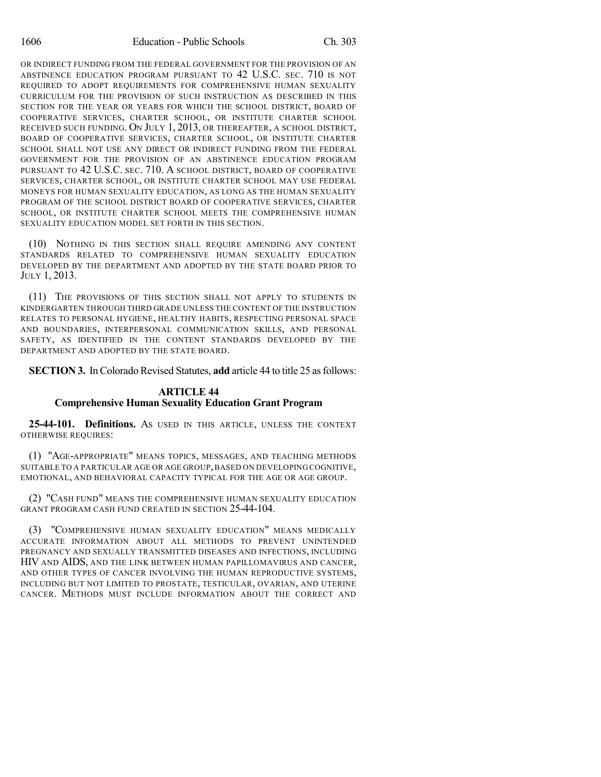OR INDIRECT FUNDING FROM THE FEDERAL GOVERNMENT FOR THE PROVISION OF AN ABSTINENCE EDUCATION PROGRAM PURSUANT TO 42 U.S.C. SEC. 710 IS NOT REQUIRED TO ADOPT REQUIREMENTS FOR COMPREHENSIVE HUMAN SEXUALITY CURRICULUM FOR THE PROVISION OF SUCH INSTRUCTION AS DESCRIBED IN THIS SECTION FOR THE YEAR OR YEARS FOR WHICH THE SCHOOL DISTRICT, BOARD OF COOPERATIVE SERVICES, CHARTER SCHOOL, OR INSTITUTE CHARTER SCHOOL RECEIVED SUCH FUNDING. ON JULY 1, 2013, OR THEREAFTER, A SCHOOL DISTRICT, BOARD OF COOPERATIVE SERVICES, CHARTER SCHOOL, OR INSTITUTE CHARTER SCHOOL SHALL NOT USE ANY DIRECT OR INDIRECT FUNDING FROM THE FEDERAL GOVERNMENT FOR THE PROVISION OF AN ABSTINENCE EDUCATION PROGRAM PURSUANT TO 42 U.S.C. SEC. 710. A SCHOOL DISTRICT, BOARD OF COOPERATIVE SERVICES, CHARTER SCHOOL, OR INSTITUTE CHARTER SCHOOL MAY USE FEDERAL MONEYS FOR HUMAN SEXUALITY EDUCATION, AS LONG AS THE HUMAN SEXUALITY PROGRAM OF THE SCHOOL DISTRICT BOARD OF COOPERATIVE SERVICES, CHARTER SCHOOL, OR INSTITUTE CHARTER SCHOOL MEETS THE COMPREHENSIVE HUMAN SEXUALITY EDUCATION MODEL SET FORTH IN THIS SECTION.

(10) NOTHING IN THIS SECTION SHALL REQUIRE AMENDING ANY CONTENT STANDARDS RELATED TO COMPREHENSIVE HUMAN SEXUALITY EDUCATION DEVELOPED BY THE DEPARTMENT AND ADOPTED BY THE STATE BOARD PRIOR TO JULY 1, 2013.

(11) THE PROVISIONS OF THIS SECTION SHALL NOT APPLY TO STUDENTS IN KINDERGARTEN THROUGH THIRD GRADE UNLESS THE CONTENT OF THE INSTRUCTION RELATES TO PERSONAL HYGIENE, HEALTHY HABITS, RESPECTING PERSONAL SPACE AND BOUNDARIES, INTERPERSONAL COMMUNICATION SKILLS, AND PERSONAL SAFETY, AS IDENTIFIED IN THE CONTENT STANDARDS DEVELOPED BY THE DEPARTMENT AND ADOPTED BY THE STATE BOARD.

**SECTION 3.** In Colorado Revised Statutes, **add** article 44 to title 25 as follows:

## **ARTICLE 44 Comprehensive Human Sexuality Education Grant Program**

**25-44-101. Definitions.** AS USED IN THIS ARTICLE, UNLESS THE CONTEXT OTHERWISE REQUIRES:

(1) "AGE-APPROPRIATE" MEANS TOPICS, MESSAGES, AND TEACHING METHODS SUITABLE TO A PARTICULAR AGE OR AGE GROUP,BASED ON DEVELOPING COGNITIVE, EMOTIONAL, AND BEHAVIORAL CAPACITY TYPICAL FOR THE AGE OR AGE GROUP.

(2) "CASH FUND" MEANS THE COMPREHENSIVE HUMAN SEXUALITY EDUCATION GRANT PROGRAM CASH FUND CREATED IN SECTION 25-44-104.

(3) "COMPREHENSIVE HUMAN SEXUALITY EDUCATION" MEANS MEDICALLY ACCURATE INFORMATION ABOUT ALL METHODS TO PREVENT UNINTENDED PREGNANCY AND SEXUALLY TRANSMITTED DISEASES AND INFECTIONS, INCLUDING HIV AND AIDS, AND THE LINK BETWEEN HUMAN PAPILLOMAVIRUS AND CANCER, AND OTHER TYPES OF CANCER INVOLVING THE HUMAN REPRODUCTIVE SYSTEMS, INCLUDING BUT NOT LIMITED TO PROSTATE, TESTICULAR, OVARIAN, AND UTERINE CANCER. METHODS MUST INCLUDE INFORMATION ABOUT THE CORRECT AND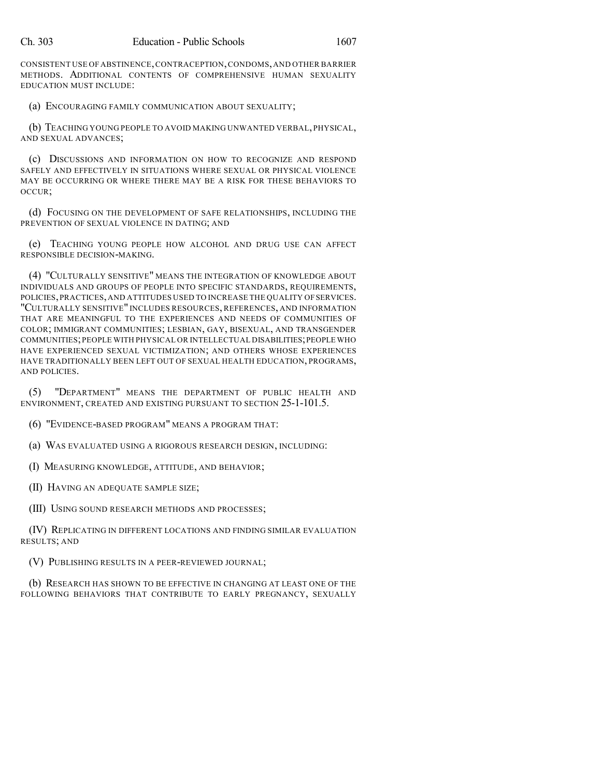CONSISTENT USE OF ABSTINENCE,CONTRACEPTION,CONDOMS,AND OTHER BARRIER METHODS. ADDITIONAL CONTENTS OF COMPREHENSIVE HUMAN SEXUALITY EDUCATION MUST INCLUDE:

(a) ENCOURAGING FAMILY COMMUNICATION ABOUT SEXUALITY;

(b) TEACHING YOUNG PEOPLE TO AVOID MAKING UNWANTED VERBAL, PHYSICAL, AND SEXUAL ADVANCES;

(c) DISCUSSIONS AND INFORMATION ON HOW TO RECOGNIZE AND RESPOND SAFELY AND EFFECTIVELY IN SITUATIONS WHERE SEXUAL OR PHYSICAL VIOLENCE MAY BE OCCURRING OR WHERE THERE MAY BE A RISK FOR THESE BEHAVIORS TO OCCUR;

(d) FOCUSING ON THE DEVELOPMENT OF SAFE RELATIONSHIPS, INCLUDING THE PREVENTION OF SEXUAL VIOLENCE IN DATING; AND

(e) TEACHING YOUNG PEOPLE HOW ALCOHOL AND DRUG USE CAN AFFECT RESPONSIBLE DECISION-MAKING.

(4) "CULTURALLY SENSITIVE" MEANS THE INTEGRATION OF KNOWLEDGE ABOUT INDIVIDUALS AND GROUPS OF PEOPLE INTO SPECIFIC STANDARDS, REQUIREMENTS, POLICIES,PRACTICES,AND ATTITUDES USED TO INCREASE THE QUALITY OFSERVICES. "CULTURALLY SENSITIVE" INCLUDES RESOURCES, REFERENCES, AND INFORMATION THAT ARE MEANINGFUL TO THE EXPERIENCES AND NEEDS OF COMMUNITIES OF COLOR; IMMIGRANT COMMUNITIES; LESBIAN, GAY, BISEXUAL, AND TRANSGENDER COMMUNITIES;PEOPLE WITH PHYSICAL OR INTELLECTUAL DISABILITIES;PEOPLE WHO HAVE EXPERIENCED SEXUAL VICTIMIZATION; AND OTHERS WHOSE EXPERIENCES HAVE TRADITIONALLY BEEN LEFT OUT OF SEXUAL HEALTH EDUCATION, PROGRAMS, AND POLICIES.

(5) "DEPARTMENT" MEANS THE DEPARTMENT OF PUBLIC HEALTH AND ENVIRONMENT, CREATED AND EXISTING PURSUANT TO SECTION 25-1-101.5.

(6) "EVIDENCE-BASED PROGRAM" MEANS A PROGRAM THAT:

(a) WAS EVALUATED USING A RIGOROUS RESEARCH DESIGN, INCLUDING:

(I) MEASURING KNOWLEDGE, ATTITUDE, AND BEHAVIOR;

(II) HAVING AN ADEQUATE SAMPLE SIZE;

(III) USING SOUND RESEARCH METHODS AND PROCESSES;

(IV) REPLICATING IN DIFFERENT LOCATIONS AND FINDING SIMILAR EVALUATION RESULTS; AND

(V) PUBLISHING RESULTS IN A PEER-REVIEWED JOURNAL;

(b) RESEARCH HAS SHOWN TO BE EFFECTIVE IN CHANGING AT LEAST ONE OF THE FOLLOWING BEHAVIORS THAT CONTRIBUTE TO EARLY PREGNANCY, SEXUALLY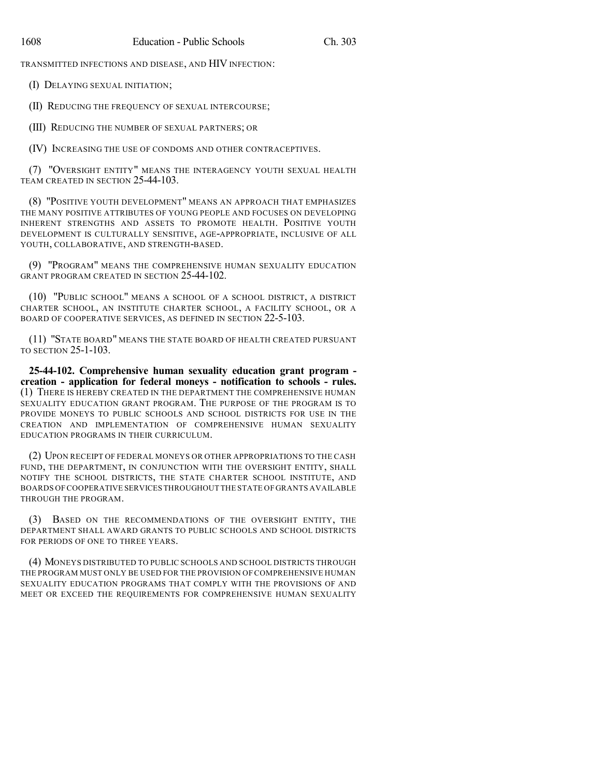TRANSMITTED INFECTIONS AND DISEASE, AND HIV INFECTION:

(I) DELAYING SEXUAL INITIATION;

(II) REDUCING THE FREQUENCY OF SEXUAL INTERCOURSE;

(III) REDUCING THE NUMBER OF SEXUAL PARTNERS; OR

(IV) INCREASING THE USE OF CONDOMS AND OTHER CONTRACEPTIVES.

(7) "OVERSIGHT ENTITY" MEANS THE INTERAGENCY YOUTH SEXUAL HEALTH TEAM CREATED IN SECTION 25-44-103.

(8) "POSITIVE YOUTH DEVELOPMENT" MEANS AN APPROACH THAT EMPHASIZES THE MANY POSITIVE ATTRIBUTES OF YOUNG PEOPLE AND FOCUSES ON DEVELOPING INHERENT STRENGTHS AND ASSETS TO PROMOTE HEALTH. POSITIVE YOUTH DEVELOPMENT IS CULTURALLY SENSITIVE, AGE-APPROPRIATE, INCLUSIVE OF ALL YOUTH, COLLABORATIVE, AND STRENGTH-BASED.

(9) "PROGRAM" MEANS THE COMPREHENSIVE HUMAN SEXUALITY EDUCATION GRANT PROGRAM CREATED IN SECTION 25-44-102.

(10) "PUBLIC SCHOOL" MEANS A SCHOOL OF A SCHOOL DISTRICT, A DISTRICT CHARTER SCHOOL, AN INSTITUTE CHARTER SCHOOL, A FACILITY SCHOOL, OR A BOARD OF COOPERATIVE SERVICES, AS DEFINED IN SECTION 22-5-103.

(11) "STATE BOARD" MEANS THE STATE BOARD OF HEALTH CREATED PURSUANT TO SECTION 25-1-103.

**25-44-102. Comprehensive human sexuality education grant program creation - application for federal moneys - notification to schools - rules.** (1) THERE IS HEREBY CREATED IN THE DEPARTMENT THE COMPREHENSIVE HUMAN SEXUALITY EDUCATION GRANT PROGRAM. THE PURPOSE OF THE PROGRAM IS TO PROVIDE MONEYS TO PUBLIC SCHOOLS AND SCHOOL DISTRICTS FOR USE IN THE CREATION AND IMPLEMENTATION OF COMPREHENSIVE HUMAN SEXUALITY EDUCATION PROGRAMS IN THEIR CURRICULUM.

(2) UPON RECEIPT OF FEDERAL MONEYS OR OTHER APPROPRIATIONS TO THE CASH FUND, THE DEPARTMENT, IN CONJUNCTION WITH THE OVERSIGHT ENTITY, SHALL NOTIFY THE SCHOOL DISTRICTS, THE STATE CHARTER SCHOOL INSTITUTE, AND BOARDS OF COOPERATIVE SERVICES THROUGHOUT THE STATE OF GRANTS AVAILABLE THROUGH THE PROGRAM.

(3) BASED ON THE RECOMMENDATIONS OF THE OVERSIGHT ENTITY, THE DEPARTMENT SHALL AWARD GRANTS TO PUBLIC SCHOOLS AND SCHOOL DISTRICTS FOR PERIODS OF ONE TO THREE YEARS.

(4) MONEYS DISTRIBUTED TO PUBLIC SCHOOLS AND SCHOOL DISTRICTS THROUGH THE PROGRAM MUST ONLY BE USED FOR THE PROVISION OF COMPREHENSIVE HUMAN SEXUALITY EDUCATION PROGRAMS THAT COMPLY WITH THE PROVISIONS OF AND MEET OR EXCEED THE REQUIREMENTS FOR COMPREHENSIVE HUMAN SEXUALITY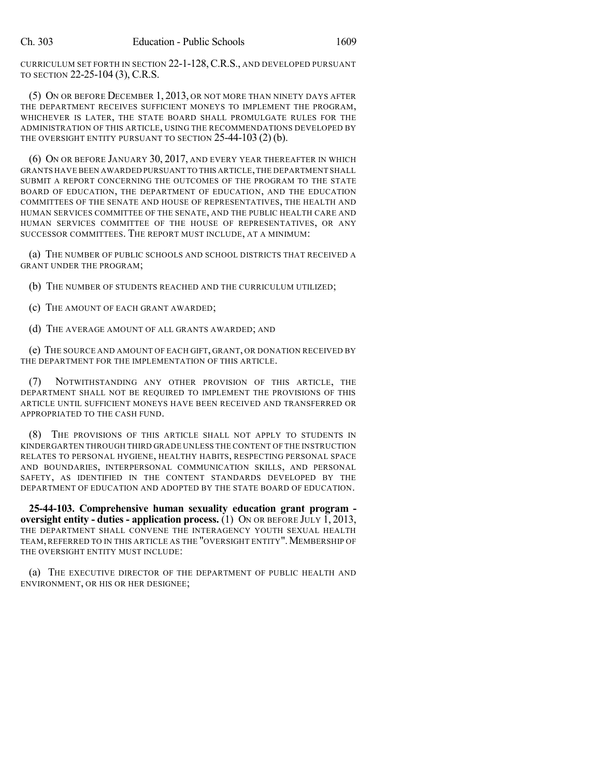CURRICULUM SET FORTH IN SECTION 22-1-128,C.R.S., AND DEVELOPED PURSUANT TO SECTION 22-25-104 (3), C.R.S.

(5) ON OR BEFORE DECEMBER 1, 2013, OR NOT MORE THAN NINETY DAYS AFTER THE DEPARTMENT RECEIVES SUFFICIENT MONEYS TO IMPLEMENT THE PROGRAM, WHICHEVER IS LATER, THE STATE BOARD SHALL PROMULGATE RULES FOR THE ADMINISTRATION OF THIS ARTICLE, USING THE RECOMMENDATIONS DEVELOPED BY THE OVERSIGHT ENTITY PURSUANT TO SECTION 25-44-103 (2) (b).

(6) ON OR BEFORE JANUARY 30, 2017, AND EVERY YEAR THEREAFTER IN WHICH GRANTS HAVE BEEN AWARDED PURSUANT TO THIS ARTICLE,THE DEPARTMENT SHALL SUBMIT A REPORT CONCERNING THE OUTCOMES OF THE PROGRAM TO THE STATE BOARD OF EDUCATION, THE DEPARTMENT OF EDUCATION, AND THE EDUCATION COMMITTEES OF THE SENATE AND HOUSE OF REPRESENTATIVES, THE HEALTH AND HUMAN SERVICES COMMITTEE OF THE SENATE, AND THE PUBLIC HEALTH CARE AND HUMAN SERVICES COMMITTEE OF THE HOUSE OF REPRESENTATIVES, OR ANY SUCCESSOR COMMITTEES. THE REPORT MUST INCLUDE, AT A MINIMUM:

(a) THE NUMBER OF PUBLIC SCHOOLS AND SCHOOL DISTRICTS THAT RECEIVED A GRANT UNDER THE PROGRAM;

(b) THE NUMBER OF STUDENTS REACHED AND THE CURRICULUM UTILIZED;

(c) THE AMOUNT OF EACH GRANT AWARDED;

(d) THE AVERAGE AMOUNT OF ALL GRANTS AWARDED; AND

(e) THE SOURCE AND AMOUNT OF EACH GIFT, GRANT, OR DONATION RECEIVED BY THE DEPARTMENT FOR THE IMPLEMENTATION OF THIS ARTICLE.

(7) NOTWITHSTANDING ANY OTHER PROVISION OF THIS ARTICLE, THE DEPARTMENT SHALL NOT BE REQUIRED TO IMPLEMENT THE PROVISIONS OF THIS ARTICLE UNTIL SUFFICIENT MONEYS HAVE BEEN RECEIVED AND TRANSFERRED OR APPROPRIATED TO THE CASH FUND.

(8) THE PROVISIONS OF THIS ARTICLE SHALL NOT APPLY TO STUDENTS IN KINDERGARTEN THROUGH THIRD GRADE UNLESS THE CONTENT OF THE INSTRUCTION RELATES TO PERSONAL HYGIENE, HEALTHY HABITS, RESPECTING PERSONAL SPACE AND BOUNDARIES, INTERPERSONAL COMMUNICATION SKILLS, AND PERSONAL SAFETY, AS IDENTIFIED IN THE CONTENT STANDARDS DEVELOPED BY THE DEPARTMENT OF EDUCATION AND ADOPTED BY THE STATE BOARD OF EDUCATION.

**25-44-103. Comprehensive human sexuality education grant program oversight entity - duties - application process.** (1) ON OR BEFORE JULY 1, 2013, THE DEPARTMENT SHALL CONVENE THE INTERAGENCY YOUTH SEXUAL HEALTH TEAM, REFERRED TO IN THIS ARTICLE AS THE "OVERSIGHT ENTITY". MEMBERSHIP OF THE OVERSIGHT ENTITY MUST INCLUDE:

(a) THE EXECUTIVE DIRECTOR OF THE DEPARTMENT OF PUBLIC HEALTH AND ENVIRONMENT, OR HIS OR HER DESIGNEE;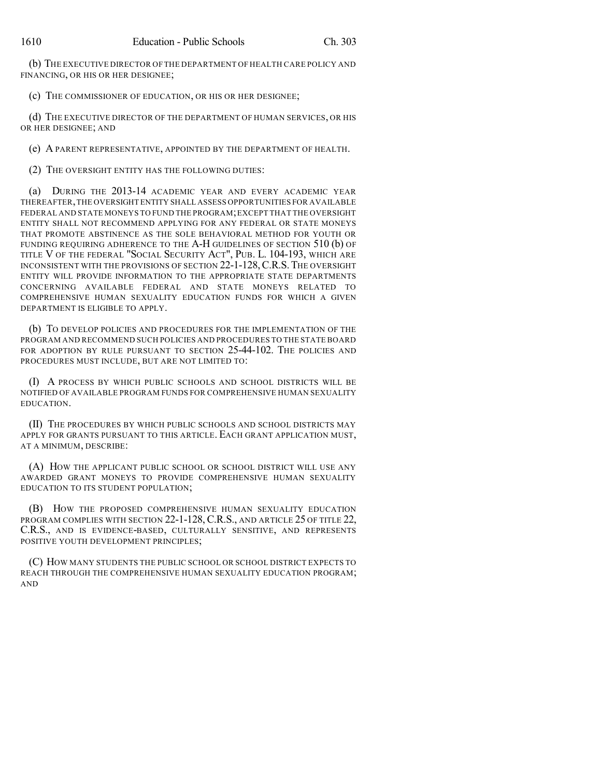(b) THE EXECUTIVE DIRECTOR OF THE DEPARTMENT OF HEALTH CARE POLICY AND FINANCING, OR HIS OR HER DESIGNEE;

(c) THE COMMISSIONER OF EDUCATION, OR HIS OR HER DESIGNEE;

(d) THE EXECUTIVE DIRECTOR OF THE DEPARTMENT OF HUMAN SERVICES, OR HIS OR HER DESIGNEE; AND

(e) A PARENT REPRESENTATIVE, APPOINTED BY THE DEPARTMENT OF HEALTH.

(2) THE OVERSIGHT ENTITY HAS THE FOLLOWING DUTIES:

(a) DURING THE 2013-14 ACADEMIC YEAR AND EVERY ACADEMIC YEAR THEREAFTER,THE OVERSIGHT ENTITY SHALL ASSESS OPPORTUNITIES FOR AVAILABLE FEDERAL AND STATE MONEYS TO FUND THE PROGRAM;EXCEPT THAT THE OVERSIGHT ENTITY SHALL NOT RECOMMEND APPLYING FOR ANY FEDERAL OR STATE MONEYS THAT PROMOTE ABSTINENCE AS THE SOLE BEHAVIORAL METHOD FOR YOUTH OR FUNDING REQUIRING ADHERENCE TO THE A-H GUIDELINES OF SECTION 510 (b) OF TITLE V OF THE FEDERAL "SOCIAL SECURITY ACT", PUB. L. 104-193, WHICH ARE INCONSISTENT WITH THE PROVISIONS OF SECTION 22-1-128,C.R.S.THE OVERSIGHT ENTITY WILL PROVIDE INFORMATION TO THE APPROPRIATE STATE DEPARTMENTS CONCERNING AVAILABLE FEDERAL AND STATE MONEYS RELATED TO COMPREHENSIVE HUMAN SEXUALITY EDUCATION FUNDS FOR WHICH A GIVEN DEPARTMENT IS ELIGIBLE TO APPLY.

(b) TO DEVELOP POLICIES AND PROCEDURES FOR THE IMPLEMENTATION OF THE PROGRAM AND RECOMMEND SUCH POLICIES AND PROCEDURES TO THE STATE BOARD FOR ADOPTION BY RULE PURSUANT TO SECTION 25-44-102. THE POLICIES AND PROCEDURES MUST INCLUDE, BUT ARE NOT LIMITED TO:

(I) A PROCESS BY WHICH PUBLIC SCHOOLS AND SCHOOL DISTRICTS WILL BE NOTIFIED OF AVAILABLE PROGRAM FUNDS FOR COMPREHENSIVE HUMAN SEXUALITY EDUCATION.

(II) THE PROCEDURES BY WHICH PUBLIC SCHOOLS AND SCHOOL DISTRICTS MAY APPLY FOR GRANTS PURSUANT TO THIS ARTICLE. EACH GRANT APPLICATION MUST, AT A MINIMUM, DESCRIBE:

(A) HOW THE APPLICANT PUBLIC SCHOOL OR SCHOOL DISTRICT WILL USE ANY AWARDED GRANT MONEYS TO PROVIDE COMPREHENSIVE HUMAN SEXUALITY EDUCATION TO ITS STUDENT POPULATION;

(B) HOW THE PROPOSED COMPREHENSIVE HUMAN SEXUALITY EDUCATION PROGRAM COMPLIES WITH SECTION 22-1-128, C.R.S., AND ARTICLE 25 OF TITLE 22, C.R.S., AND IS EVIDENCE-BASED, CULTURALLY SENSITIVE, AND REPRESENTS POSITIVE YOUTH DEVELOPMENT PRINCIPLES;

(C) HOW MANY STUDENTS THE PUBLIC SCHOOL OR SCHOOL DISTRICT EXPECTS TO REACH THROUGH THE COMPREHENSIVE HUMAN SEXUALITY EDUCATION PROGRAM; AND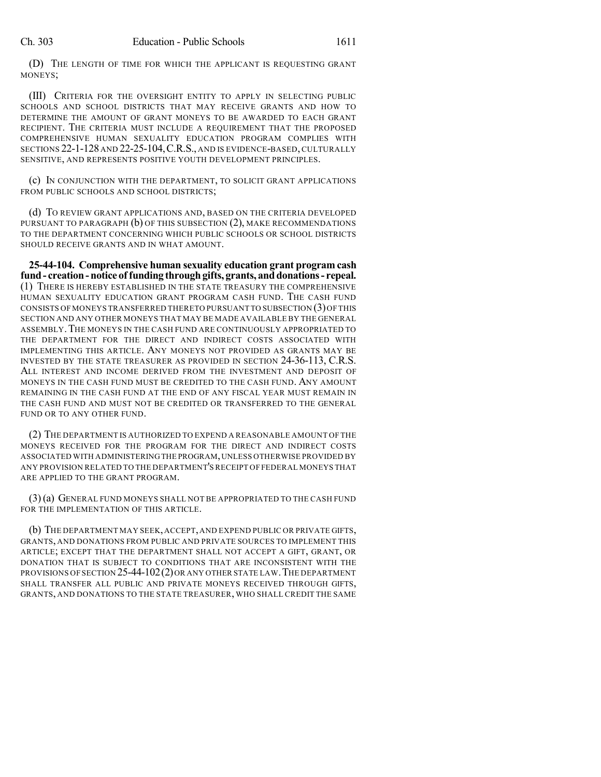(D) THE LENGTH OF TIME FOR WHICH THE APPLICANT IS REQUESTING GRANT MONEYS;

(III) CRITERIA FOR THE OVERSIGHT ENTITY TO APPLY IN SELECTING PUBLIC SCHOOLS AND SCHOOL DISTRICTS THAT MAY RECEIVE GRANTS AND HOW TO DETERMINE THE AMOUNT OF GRANT MONEYS TO BE AWARDED TO EACH GRANT RECIPIENT. THE CRITERIA MUST INCLUDE A REQUIREMENT THAT THE PROPOSED COMPREHENSIVE HUMAN SEXUALITY EDUCATION PROGRAM COMPLIES WITH SECTIONS 22-1-128 AND 22-25-104,C.R.S., AND IS EVIDENCE-BASED,CULTURALLY SENSITIVE, AND REPRESENTS POSITIVE YOUTH DEVELOPMENT PRINCIPLES.

(c) IN CONJUNCTION WITH THE DEPARTMENT, TO SOLICIT GRANT APPLICATIONS FROM PUBLIC SCHOOLS AND SCHOOL DISTRICTS;

(d) TO REVIEW GRANT APPLICATIONS AND, BASED ON THE CRITERIA DEVELOPED PURSUANT TO PARAGRAPH (b) OF THIS SUBSECTION (2), MAKE RECOMMENDATIONS TO THE DEPARTMENT CONCERNING WHICH PUBLIC SCHOOLS OR SCHOOL DISTRICTS SHOULD RECEIVE GRANTS AND IN WHAT AMOUNT.

**25-44-104. Comprehensive human sexuality education grant program cash fund- creation-notice of funding throughgifts, grants, anddonations- repeal.** (1) THERE IS HEREBY ESTABLISHED IN THE STATE TREASURY THE COMPREHENSIVE HUMAN SEXUALITY EDUCATION GRANT PROGRAM CASH FUND. THE CASH FUND CONSISTS OF MONEYS TRANSFERRED THERETO PURSUANT TO SUBSECTION (3)OF THIS SECTION AND ANY OTHER MONEYS THAT MAY BE MADE AVAILABLE BY THE GENERAL ASSEMBLY.THE MONEYS IN THE CASH FUND ARE CONTINUOUSLY APPROPRIATED TO THE DEPARTMENT FOR THE DIRECT AND INDIRECT COSTS ASSOCIATED WITH IMPLEMENTING THIS ARTICLE. ANY MONEYS NOT PROVIDED AS GRANTS MAY BE INVESTED BY THE STATE TREASURER AS PROVIDED IN SECTION 24-36-113, C.R.S. ALL INTEREST AND INCOME DERIVED FROM THE INVESTMENT AND DEPOSIT OF MONEYS IN THE CASH FUND MUST BE CREDITED TO THE CASH FUND. ANY AMOUNT REMAINING IN THE CASH FUND AT THE END OF ANY FISCAL YEAR MUST REMAIN IN THE CASH FUND AND MUST NOT BE CREDITED OR TRANSFERRED TO THE GENERAL FUND OR TO ANY OTHER FUND.

(2) THE DEPARTMENT IS AUTHORIZED TO EXPEND A REASONABLE AMOUNT OF THE MONEYS RECEIVED FOR THE PROGRAM FOR THE DIRECT AND INDIRECT COSTS ASSOCIATED WITH ADMINISTERINGTHE PROGRAM,UNLESS OTHERWISE PROVIDED BY ANY PROVISION RELATED TO THE DEPARTMENT'S RECEIPT OF FEDERAL MONEYS THAT ARE APPLIED TO THE GRANT PROGRAM.

(3)(a) GENERAL FUND MONEYS SHALL NOT BE APPROPRIATED TO THE CASH FUND FOR THE IMPLEMENTATION OF THIS ARTICLE.

(b) THE DEPARTMENT MAY SEEK,ACCEPT,AND EXPEND PUBLIC OR PRIVATE GIFTS, GRANTS, AND DONATIONS FROM PUBLIC AND PRIVATE SOURCES TO IMPLEMENT THIS ARTICLE; EXCEPT THAT THE DEPARTMENT SHALL NOT ACCEPT A GIFT, GRANT, OR DONATION THAT IS SUBJECT TO CONDITIONS THAT ARE INCONSISTENT WITH THE PROVISIONS OF SECTION 25-44-102(2)OR ANY OTHER STATE LAW.THE DEPARTMENT SHALL TRANSFER ALL PUBLIC AND PRIVATE MONEYS RECEIVED THROUGH GIFTS, GRANTS, AND DONATIONS TO THE STATE TREASURER, WHO SHALL CREDIT THE SAME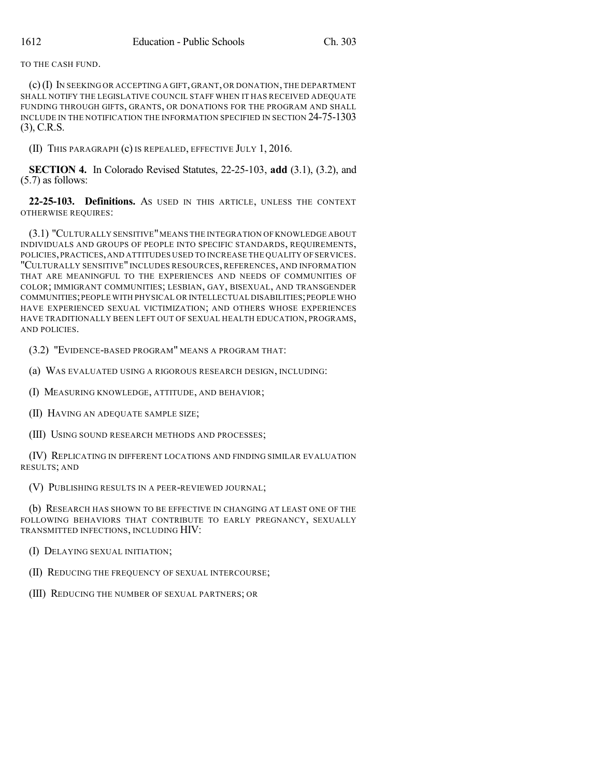TO THE CASH FUND.

(c)(I) IN SEEKING OR ACCEPTING A GIFT, GRANT, OR DONATION, THE DEPARTMENT SHALL NOTIFY THE LEGISLATIVE COUNCIL STAFF WHEN IT HAS RECEIVED ADEQUATE FUNDING THROUGH GIFTS, GRANTS, OR DONATIONS FOR THE PROGRAM AND SHALL INCLUDE IN THE NOTIFICATION THE INFORMATION SPECIFIED IN SECTION 24-75-1303 (3), C.R.S.

(II) THIS PARAGRAPH (c) IS REPEALED, EFFECTIVE JULY 1, 2016.

**SECTION 4.** In Colorado Revised Statutes, 22-25-103, **add** (3.1), (3.2), and (5.7) as follows:

**22-25-103. Definitions.** AS USED IN THIS ARTICLE, UNLESS THE CONTEXT OTHERWISE REQUIRES:

(3.1) "CULTURALLY SENSITIVE"MEANS THE INTEGRATION OF KNOWLEDGE ABOUT INDIVIDUALS AND GROUPS OF PEOPLE INTO SPECIFIC STANDARDS, REQUIREMENTS, POLICIES,PRACTICES,AND ATTITUDES USED TO INCREASE THE QUALITY OF SERVICES. "CULTURALLY SENSITIVE" INCLUDES RESOURCES, REFERENCES, AND INFORMATION THAT ARE MEANINGFUL TO THE EXPERIENCES AND NEEDS OF COMMUNITIES OF COLOR; IMMIGRANT COMMUNITIES; LESBIAN, GAY, BISEXUAL, AND TRANSGENDER COMMUNITIES;PEOPLE WITH PHYSICAL OR INTELLECTUAL DISABILITIES;PEOPLE WHO HAVE EXPERIENCED SEXUAL VICTIMIZATION; AND OTHERS WHOSE EXPERIENCES HAVE TRADITIONALLY BEEN LEFT OUT OF SEXUAL HEALTH EDUCATION, PROGRAMS, AND POLICIES.

(3.2) "EVIDENCE-BASED PROGRAM" MEANS A PROGRAM THAT:

(a) WAS EVALUATED USING A RIGOROUS RESEARCH DESIGN, INCLUDING:

(I) MEASURING KNOWLEDGE, ATTITUDE, AND BEHAVIOR;

(II) HAVING AN ADEQUATE SAMPLE SIZE;

(III) USING SOUND RESEARCH METHODS AND PROCESSES;

(IV) REPLICATING IN DIFFERENT LOCATIONS AND FINDING SIMILAR EVALUATION RESULTS; AND

(V) PUBLISHING RESULTS IN A PEER-REVIEWED JOURNAL;

(b) RESEARCH HAS SHOWN TO BE EFFECTIVE IN CHANGING AT LEAST ONE OF THE FOLLOWING BEHAVIORS THAT CONTRIBUTE TO EARLY PREGNANCY, SEXUALLY TRANSMITTED INFECTIONS, INCLUDING HIV:

(I) DELAYING SEXUAL INITIATION;

(II) REDUCING THE FREQUENCY OF SEXUAL INTERCOURSE;

(III) REDUCING THE NUMBER OF SEXUAL PARTNERS; OR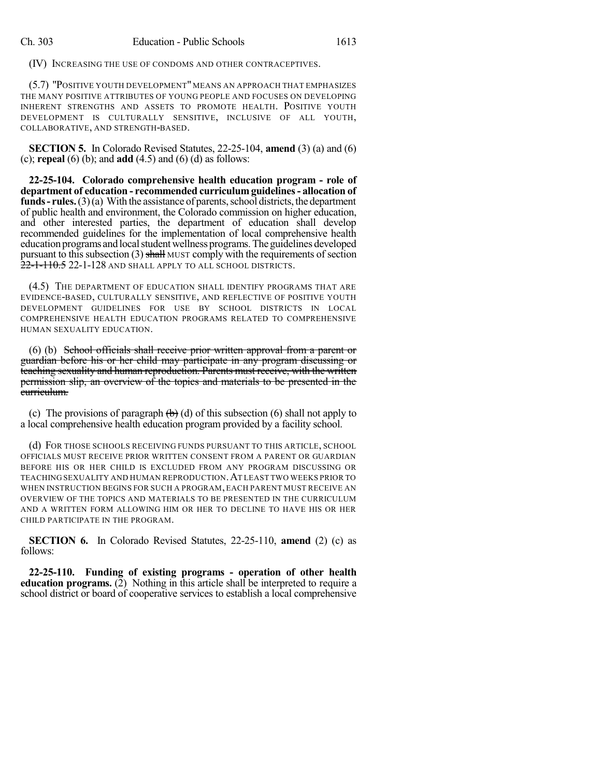(IV) INCREASING THE USE OF CONDOMS AND OTHER CONTRACEPTIVES.

(5.7) "POSITIVE YOUTH DEVELOPMENT" MEANS AN APPROACH THAT EMPHASIZES THE MANY POSITIVE ATTRIBUTES OF YOUNG PEOPLE AND FOCUSES ON DEVELOPING INHERENT STRENGTHS AND ASSETS TO PROMOTE HEALTH. POSITIVE YOUTH DEVELOPMENT IS CULTURALLY SENSITIVE, INCLUSIVE OF ALL YOUTH, COLLABORATIVE, AND STRENGTH-BASED.

**SECTION 5.** In Colorado Revised Statutes, 22-25-104, **amend** (3) (a) and (6) (c); **repeal** (6) (b); and **add** (4.5) and (6) (d) as follows:

**22-25-104. Colorado comprehensive health education program - role of department of education - recommended curriculum guidelines- allocation of funds** – **rules.**  $(3)(a)$  With the assistance of parents, school districts, the department of public health and environment, the Colorado commission on higher education, and other interested parties, the department of education shall develop recommended guidelines for the implementation of local comprehensive health education programs and local student wellness programs. The guidelines developed pursuant to this subsection (3) shall MUST comply with the requirements of section 22-1-110.5 22-1-128 and shall apply to all school districts.

(4.5) THE DEPARTMENT OF EDUCATION SHALL IDENTIFY PROGRAMS THAT ARE EVIDENCE-BASED, CULTURALLY SENSITIVE, AND REFLECTIVE OF POSITIVE YOUTH DEVELOPMENT GUIDELINES FOR USE BY SCHOOL DISTRICTS IN LOCAL COMPREHENSIVE HEALTH EDUCATION PROGRAMS RELATED TO COMPREHENSIVE HUMAN SEXUALITY EDUCATION.

(6) (b) School officials shall receive prior written approval from a parent or guardian before his or her child may participate in any program discussing or teaching sexuality and human reproduction. Parents must receive, with the written permission slip, an overview of the topics and materials to be presented in the curriculum.

(c) The provisions of paragraph  $(\theta)$  (d) of this subsection (6) shall not apply to a local comprehensive health education program provided by a facility school.

(d) FOR THOSE SCHOOLS RECEIVING FUNDS PURSUANT TO THIS ARTICLE, SCHOOL OFFICIALS MUST RECEIVE PRIOR WRITTEN CONSENT FROM A PARENT OR GUARDIAN BEFORE HIS OR HER CHILD IS EXCLUDED FROM ANY PROGRAM DISCUSSING OR TEACHING SEXUALITY AND HUMAN REPRODUCTION.AT LEAST TWO WEEKS PRIOR TO WHEN INSTRUCTION BEGINS FOR SUCH A PROGRAM, EACH PARENT MUST RECEIVE AN OVERVIEW OF THE TOPICS AND MATERIALS TO BE PRESENTED IN THE CURRICULUM AND A WRITTEN FORM ALLOWING HIM OR HER TO DECLINE TO HAVE HIS OR HER CHILD PARTICIPATE IN THE PROGRAM.

**SECTION 6.** In Colorado Revised Statutes, 22-25-110, **amend** (2) (c) as follows:

**22-25-110. Funding of existing programs - operation of other health education programs.** (2) Nothing in this article shall be interpreted to require a school district or board of cooperative services to establish a local comprehensive